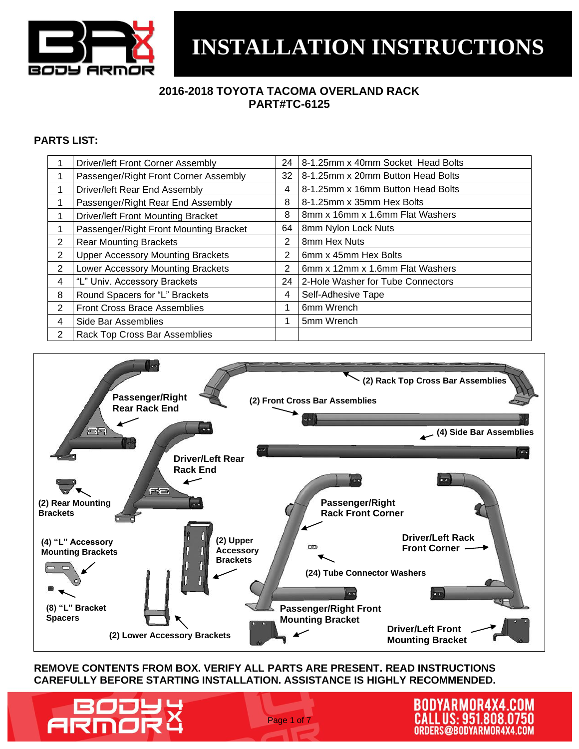

#### **2016-2018 TOYOTA TACOMA OVERLAND RACK PART#TC-6125**

#### **PARTS LIST:**

|                | <b>Driver/left Front Corner Assembly</b>  | 24             | 8-1.25mm x 40mm Socket Head Bolts |
|----------------|-------------------------------------------|----------------|-----------------------------------|
|                | Passenger/Right Front Corner Assembly     | 32             | 8-1.25mm x 20mm Button Head Bolts |
|                | Driver/left Rear End Assembly             | 4              | 8-1.25mm x 16mm Button Head Bolts |
|                | Passenger/Right Rear End Assembly         | 8              | 8-1.25mm x 35mm Hex Bolts         |
|                | <b>Driver/left Front Mounting Bracket</b> | 8              | 8mm x 16mm x 1.6mm Flat Washers   |
|                | Passenger/Right Front Mounting Bracket    | 64             | 8mm Nylon Lock Nuts               |
| 2              | <b>Rear Mounting Brackets</b>             | $\overline{2}$ | 8mm Hex Nuts                      |
| $\overline{2}$ | <b>Upper Accessory Mounting Brackets</b>  | 2              | 6mm x 45mm Hex Bolts              |
| $\overline{2}$ | Lower Accessory Mounting Brackets         | 2              | 6mm x 12mm x 1.6mm Flat Washers   |
| 4              | "L" Univ. Accessory Brackets              | 24             | 2-Hole Washer for Tube Connectors |
| 8              | Round Spacers for "L" Brackets            | 4              | Self-Adhesive Tape                |
| 2              | <b>Front Cross Brace Assemblies</b>       |                | 6mm Wrench                        |
| 4              | Side Bar Assemblies                       |                | 5mm Wrench                        |
| 2              | <b>Rack Top Cross Bar Assemblies</b>      |                |                                   |



#### **REMOVE CONTENTS FROM BOX. VERIFY ALL PARTS ARE PRESENT. READ INSTRUCTIONS CAREFULLY BEFORE STARTING INSTALLATION. ASSISTANCE IS HIGHLY RECOMMENDED.**

Page 1 of 7

RMOR4 LL US: 951.808.0750 ORDERS@BODYARMOR4X4.COM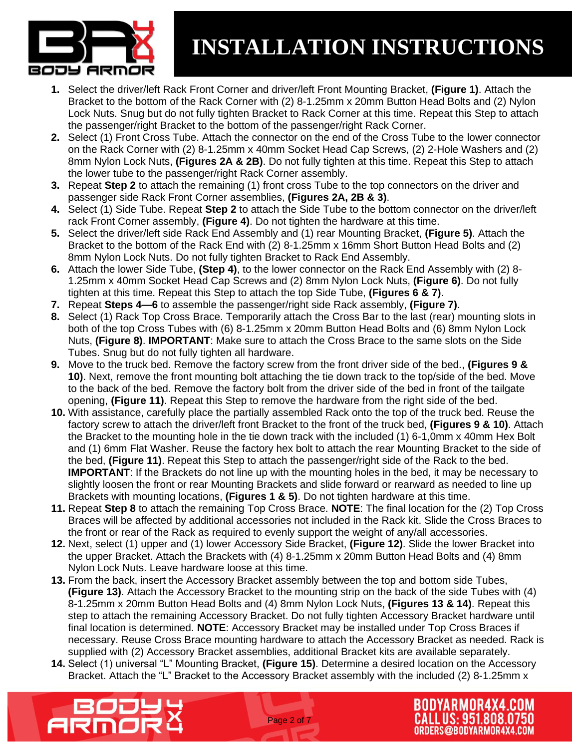

- **1.** Select the driver/left Rack Front Corner and driver/left Front Mounting Bracket, **(Figure 1)**. Attach the Bracket to the bottom of the Rack Corner with (2) 8-1.25mm x 20mm Button Head Bolts and (2) Nylon Lock Nuts. Snug but do not fully tighten Bracket to Rack Corner at this time. Repeat this Step to attach the passenger/right Bracket to the bottom of the passenger/right Rack Corner.
- **2.** Select (1) Front Cross Tube. Attach the connector on the end of the Cross Tube to the lower connector on the Rack Corner with (2) 8-1.25mm x 40mm Socket Head Cap Screws, (2) 2-Hole Washers and (2) 8mm Nylon Lock Nuts, **(Figures 2A & 2B)**. Do not fully tighten at this time. Repeat this Step to attach the lower tube to the passenger/right Rack Corner assembly.
- **3.** Repeat **Step 2** to attach the remaining (1) front cross Tube to the top connectors on the driver and passenger side Rack Front Corner assemblies, **(Figures 2A, 2B & 3)**.
- **4.** Select (1) Side Tube. Repeat **Step 2** to attach the Side Tube to the bottom connector on the driver/left rack Front Corner assembly, **(Figure 4)**. Do not tighten the hardware at this time.
- **5.** Select the driver/left side Rack End Assembly and (1) rear Mounting Bracket, **(Figure 5)**. Attach the Bracket to the bottom of the Rack End with (2) 8-1.25mm x 16mm Short Button Head Bolts and (2) 8mm Nylon Lock Nuts. Do not fully tighten Bracket to Rack End Assembly.
- **6.** Attach the lower Side Tube, **(Step 4)**, to the lower connector on the Rack End Assembly with (2) 8- 1.25mm x 40mm Socket Head Cap Screws and (2) 8mm Nylon Lock Nuts, **(Figure 6)**. Do not fully tighten at this time. Repeat this Step to attach the top Side Tube, **(Figures 6 & 7)**.
- **7.** Repeat **Steps 4—6** to assemble the passenger/right side Rack assembly, **(Figure 7)**.
- **8.** Select (1) Rack Top Cross Brace. Temporarily attach the Cross Bar to the last (rear) mounting slots in both of the top Cross Tubes with (6) 8-1.25mm x 20mm Button Head Bolts and (6) 8mm Nylon Lock Nuts, **(Figure 8)**. **IMPORTANT**: Make sure to attach the Cross Brace to the same slots on the Side Tubes. Snug but do not fully tighten all hardware.
- **9.** Move to the truck bed. Remove the factory screw from the front driver side of the bed., **(Figures 9 & 10)**. Next, remove the front mounting bolt attaching the tie down track to the top/side of the bed. Move to the back of the bed. Remove the factory bolt from the driver side of the bed in front of the tailgate opening, **(Figure 11)**. Repeat this Step to remove the hardware from the right side of the bed.
- **10.** With assistance, carefully place the partially assembled Rack onto the top of the truck bed. Reuse the factory screw to attach the driver/left front Bracket to the front of the truck bed, **(Figures 9 & 10)**. Attach the Bracket to the mounting hole in the tie down track with the included (1) 6-1,0mm x 40mm Hex Bolt and (1) 6mm Flat Washer. Reuse the factory hex bolt to attach the rear Mounting Bracket to the side of the bed, **(Figure 11)**. Repeat this Step to attach the passenger/right side of the Rack to the bed. **IMPORTANT:** If the Brackets do not line up with the mounting holes in the bed, it may be necessary to slightly loosen the front or rear Mounting Brackets and slide forward or rearward as needed to line up Brackets with mounting locations, **(Figures 1 & 5)**. Do not tighten hardware at this time.
- **11.** Repeat **Step 8** to attach the remaining Top Cross Brace. **NOTE**: The final location for the (2) Top Cross Braces will be affected by additional accessories not included in the Rack kit. Slide the Cross Braces to the front or rear of the Rack as required to evenly support the weight of any/all accessories.
- **12.** Next, select (1) upper and (1) lower Accessory Side Bracket, **(Figure 12)**. Slide the lower Bracket into the upper Bracket. Attach the Brackets with (4) 8-1.25mm x 20mm Button Head Bolts and (4) 8mm Nylon Lock Nuts. Leave hardware loose at this time.
- **13.** From the back, insert the Accessory Bracket assembly between the top and bottom side Tubes, **(Figure 13)**. Attach the Accessory Bracket to the mounting strip on the back of the side Tubes with (4) 8-1.25mm x 20mm Button Head Bolts and (4) 8mm Nylon Lock Nuts, **(Figures 13 & 14)**. Repeat this step to attach the remaining Accessory Bracket. Do not fully tighten Accessory Bracket hardware until final location is determined. **NOTE**: Accessory Bracket may be installed under Top Cross Braces if necessary. Reuse Cross Brace mounting hardware to attach the Accessory Bracket as needed. Rack is supplied with (2) Accessory Bracket assemblies, additional Bracket kits are available separately.
- **14.** Select (1) universal "L" Mounting Bracket, **(Figure 15)**. Determine a desired location on the Accessory Bracket. Attach the "L" Bracket to the Accessory Bracket assembly with the included (2) 8-1.25mm x

BODYARMOR4

ALL US: 951.808.0750 ORDERS@BODYARMOR4X4.COM

Page 2 of 7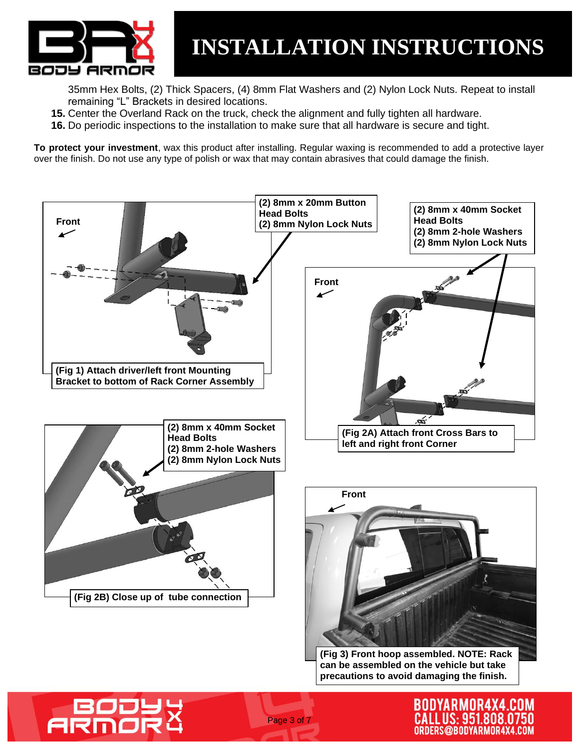

35mm Hex Bolts, (2) Thick Spacers, (4) 8mm Flat Washers and (2) Nylon Lock Nuts. Repeat to install remaining "L" Brackets in desired locations.

- **15.** Center the Overland Rack on the truck, check the alignment and fully tighten all hardware.
- **16.** Do periodic inspections to the installation to make sure that all hardware is secure and tight.

**To protect your investment**, wax this product after installing. Regular waxing is recommended to add a protective layer over the finish. Do not use any type of polish or wax that may contain abrasives that could damage the finish.

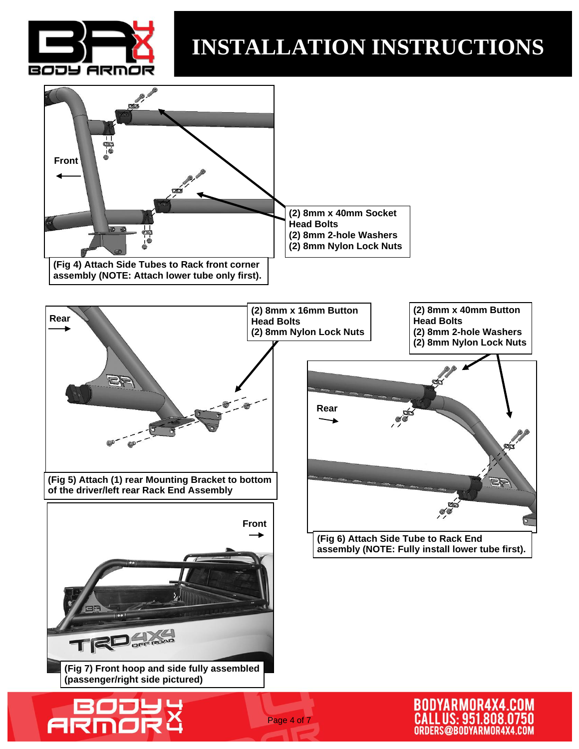

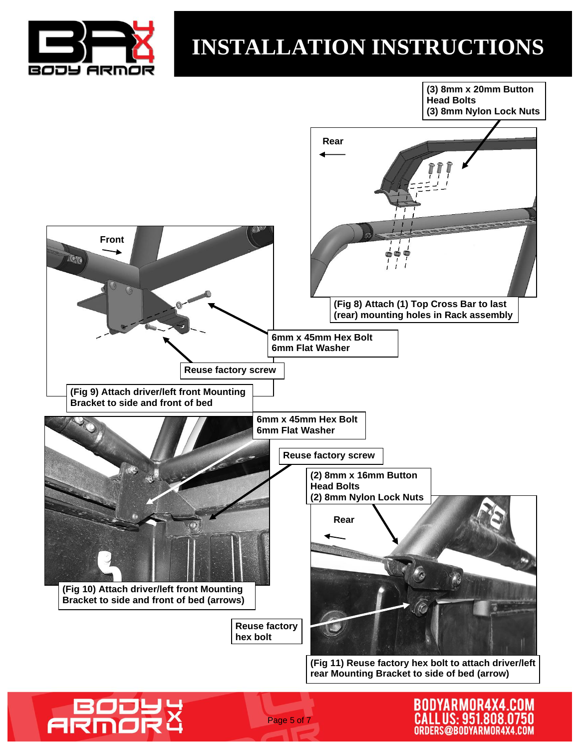



Page 5 of 7

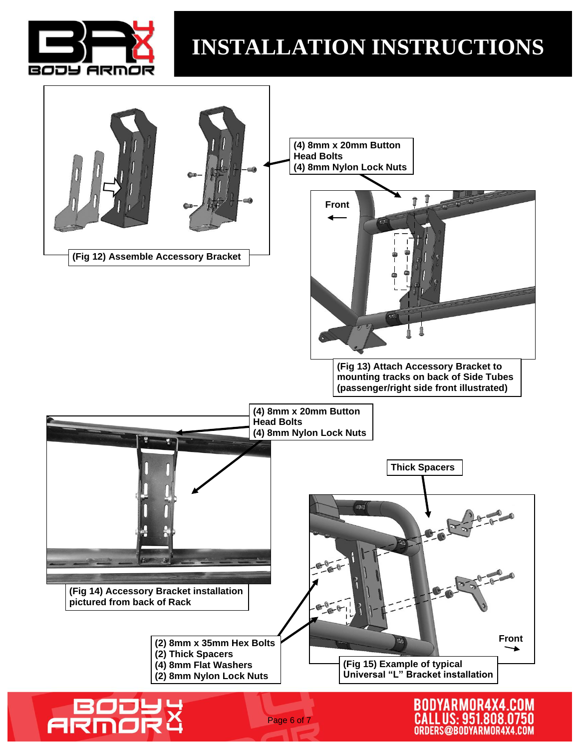